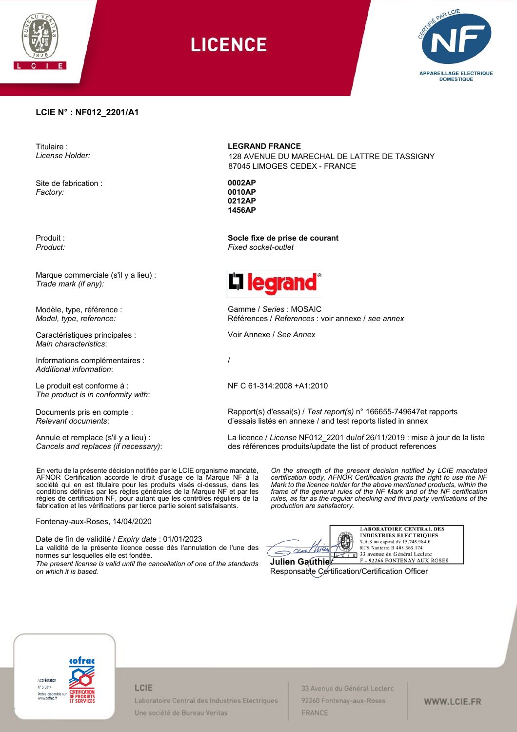

**LICENCE** 



### **LCIE N° : NF012\_2201/A1**

Titulaire : *License Holder:*

Site de fabrication : *Factory:*

Produit : *Product:*

Marque commerciale (s'il y a lieu) : *Trade mark (if any):*

Modèle, type, référence : *Model, type, reference:*

Caractéristiques principales : *Main characteristics*:

Informations complémentaires : *Additional information*:

Le produit est conforme à : *The product is in conformity with*:

Documents pris en compte : *Relevant documents*:

Annule et remplace (s'il y a lieu) : *Cancels and replaces (if necessary)*: **LEGRAND FRANCE**

128 AVENUE DU MARECHAL DE LATTRE DE TASSIGNY 87045 LIMOGES CEDEX - FRANCE

**0002AP 0010AP 0212AP 1456AP**

**Socle fixe de prise de courant** *Fixed socket-outlet*



Gamme / *Series* : MOSAIC Références / *References* : voir annexe / *see annex*

Voir Annexe / *See Annex*

/

NF C 61-314:2008 +A1:2010

Rapport(s) d'essai(s) / *Test report(s)* n° 166655-749647et rapports d'essais listés en annexe / and test reports listed in annex

La licence / *License* NF012\_2201 du/*of* 26/11/2019 : mise à jour de la liste des références produits/update the list of product references

> *On the strength of the present decision notified by LCIE mandated certification body, AFNOR Certification grants the right to use the NF Mark to the licence holder for the above mentioned products, within the frame of the general rules of the NF Mark and of the NF certification rules, as far as the regular checking and third party verifications of the*

En vertu de la présente décision notifiée par le LCIE organisme mandaté, AFNOR Certification accorde le droit d'usage de la Marque NF à la société qui en est titulaire pour les produits visés ci-dessus, dans les conditions définies par les règles générales de la Marque NF et par les règles de certification NF, pour autant que les contrôles réguliers de la fabrication et les vérifications par tierce partie soient satisfaisants.

Fontenay-aux-Roses, 14/04/2020

Date de fin de validité / *Expiry date* : 01/01/2023 La validité de la présente licence cesse dès l'annulation de l'une des normes sur lesquelles elle est fondée. *The present license is valid until the cancellation of one of the standards* 

*on which it is based.*

| Julien Gautl |  |
|--------------|--|

*production are satisfactory.* 

**LABORATOIRE CENTRAL DES INDUSTRIES ELECTRIQUES** S.A.S au capital de 15.745.984  $\epsilon$ RCS Nanterre B 408 363 174 33 avenue du Général Leclerc F - 92266 FONTENAY AUX ROSES

Responsable Certification/Certification Officer



#### LCIE

Laboratoire Central des Industries Electriques Une société de Bureau Veritas

33 Avenue du Général Leclerc 92260 Fontenay-aux-Roses FRANCE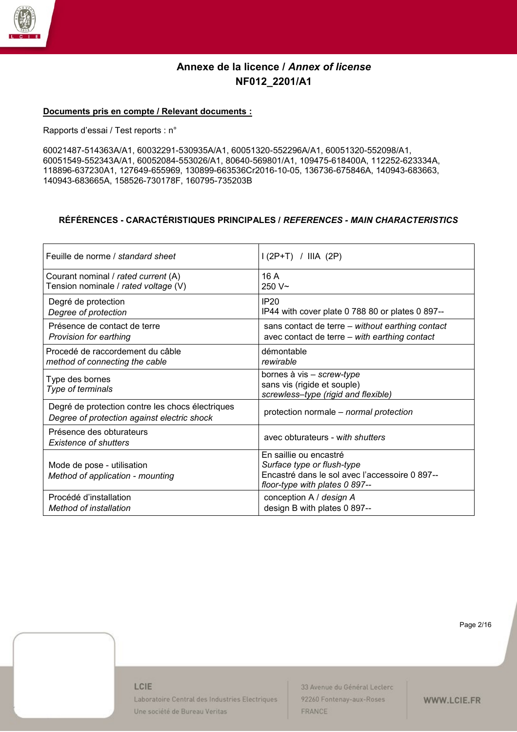

### **Documents pris en compte / Relevant documents :**

Rapports d'essai / Test reports : n°

60021487-514363A/A1, 60032291-530935A/A1, 60051320-552296A/A1, 60051320-552098/A1, 60051549-552343A/A1, 60052084-553026/A1, 80640-569801/A1, 109475-618400A, 112252-623334A, 118896-637230A1, 127649-655969, 130899-663536Cr2016-10-05, 136736-675846A, 140943-683663, 140943-683665A, 158526-730178F, 160795-735203B

## **RÉFÉRENCES - CARACTÉRISTIQUES PRINCIPALES /** *REFERENCES - MAIN CHARACTERISTICS*

| Feuille de norme / standard sheet                                                               | $1(2P+T)$ / IIIA (2P)                                                                                                                    |
|-------------------------------------------------------------------------------------------------|------------------------------------------------------------------------------------------------------------------------------------------|
| Courant nominal / rated current (A)                                                             | 16A                                                                                                                                      |
| Tension nominale / rated voltage (V)                                                            | $250V -$                                                                                                                                 |
| Degré de protection                                                                             | <b>IP20</b>                                                                                                                              |
| Degree of protection                                                                            | IP44 with cover plate 0 788 80 or plates 0 897--                                                                                         |
| Présence de contact de terre                                                                    | sans contact de terre – without earthing contact                                                                                         |
| Provision for earthing                                                                          | avec contact de terre - with earthing contact                                                                                            |
| Procedé de raccordement du câble                                                                | démontable                                                                                                                               |
| method of connecting the cable                                                                  | rewirable                                                                                                                                |
| Type des bornes<br>Type of terminals                                                            | bornes à vis - screw-type<br>sans vis (rigide et souple)<br>screwless-type (rigid and flexible)                                          |
| Degré de protection contre les chocs électriques<br>Degree of protection against electric shock | protection normale - normal protection                                                                                                   |
| Présence des obturateurs<br><b>Existence of shutters</b>                                        | avec obturateurs - with shutters                                                                                                         |
| Mode de pose - utilisation<br>Method of application - mounting                                  | En saillie ou encastré<br>Surface type or flush-type<br>Encastré dans le sol avec l'accessoire 0 897--<br>floor-type with plates 0 897-- |
| Procédé d'installation                                                                          | conception A / design A                                                                                                                  |
| Method of installation                                                                          | design B with plates 0 897--                                                                                                             |

Page 2/16

#### LCIE

Laboratoire Central des Industries Electriques Une société de Bureau Veritas

33 Avenue du Général Leclerc 92260 Fontenay-aux-Roses FRANCE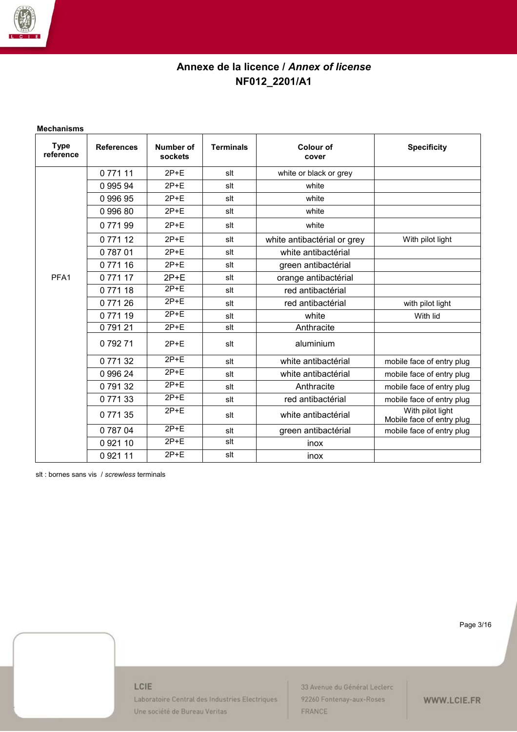

#### **Mechanisms**

| <b>Type</b><br>reference | <b>References</b> | Number of<br>sockets | <b>Terminals</b> | <b>Colour of</b><br>cover   | <b>Specificity</b>                            |
|--------------------------|-------------------|----------------------|------------------|-----------------------------|-----------------------------------------------|
|                          | 0 771 11          | $2P+E$               | slt              | white or black or grey      |                                               |
|                          | 0 995 94          | $2P+E$               | slt              | white                       |                                               |
|                          | 099695            | $2P+E$               | slt              | white                       |                                               |
|                          | 099680            | $2P+E$               | slt              | white                       |                                               |
|                          | 077199            | $2P+E$               | slt              | white                       |                                               |
|                          | 077112            | $2P+E$               | slt              | white antibactérial or grey | With pilot light                              |
|                          | 078701            | $2P+E$               | slt              | white antibactérial         |                                               |
|                          | 077116            | $2P+E$               | slt              | green antibactérial         |                                               |
| PFA <sub>1</sub>         | 077117            | $2P+E$               | slt              | orange antibactérial        |                                               |
|                          | 0 771 18          | $2P+E$               | slt              | red antibactérial           |                                               |
|                          | 0 771 26          | $2P+E$               | slt              | red antibactérial           | with pilot light                              |
|                          | 077119            | $2P+E$               | slt              | white                       | With lid                                      |
|                          | 079121            | $2P+E$               | slt              | Anthracite                  |                                               |
|                          | 079271            | $2P+E$               | slt              | aluminium                   |                                               |
|                          | 077132            | $2P+E$               | slt              | white antibactérial         | mobile face of entry plug                     |
|                          | 0 996 24          | $2P+E$               | slt              | white antibactérial         | mobile face of entry plug                     |
|                          | 079132            | $2P+E$               | slt              | Anthracite                  | mobile face of entry plug                     |
|                          | 077133            | $2P+E$               | slt              | red antibactérial           | mobile face of entry plug                     |
|                          | 077135            | $2P+E$               | slt              | white antibactérial         | With pilot light<br>Mobile face of entry plug |
|                          | 078704            | $2P+E$               | slt              | green antibactérial         | mobile face of entry plug                     |
|                          | 0 9 21 10         | $2P+E$               | slt              | inox                        |                                               |
|                          | 0 9 21 11         | $2P+E$               | slt              | inox                        |                                               |

slt : bornes sans vis / *screwless* terminals

Page 3/16

### LCIE

Laboratoire Central des Industries Electriques Une société de Bureau Veritas

33 Avenue du Général Leclerc 92260 Fontenay-aux-Roses FRANCE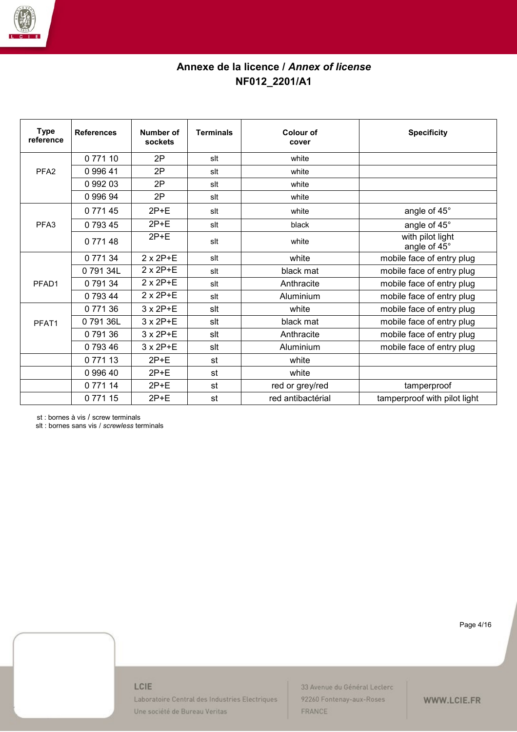

| <b>Type</b><br>reference | <b>References</b> | Number of<br>sockets | <b>Terminals</b> | Colour of<br>cover | <b>Specificity</b>               |
|--------------------------|-------------------|----------------------|------------------|--------------------|----------------------------------|
|                          | 0 771 10          | 2P                   | slt              | white              |                                  |
| PFA <sub>2</sub>         | 0 996 41          | 2P                   | slt              | white              |                                  |
|                          | 0 992 03          | 2P                   | slt              | white              |                                  |
|                          | 0 996 94          | 2P                   | slt              | white              |                                  |
|                          | 077145            | $2P+E$               | slt              | white              | angle of 45°                     |
| PFA <sub>3</sub>         | 079345            | $2P+E$               | slt              | black              | angle of 45°                     |
|                          | 0 771 48          | $2P+E$               | slt              | white              | with pilot light<br>angle of 45° |
|                          | 0 771 34          | $2 \times 2P+E$      | slt              | white              | mobile face of entry plug        |
|                          | 079134L           | $2 \times 2P + E$    | slt              | black mat          | mobile face of entry plug        |
| PFAD1                    | 079134            | $2 \times 2P + E$    | slt              | Anthracite         | mobile face of entry plug        |
|                          | 0 793 44          | $2 \times 2P+E$      | slt              | Aluminium          | mobile face of entry plug        |
|                          | 077136            | $3 \times 2P+E$      | slt              | white              | mobile face of entry plug        |
| PFAT1                    | 079136L           | $3 \times 2P+E$      | slt              | black mat          | mobile face of entry plug        |
|                          | 079136            | $3 \times 2P+E$      | slt              | Anthracite         | mobile face of entry plug        |
|                          | 079346            | 3 x 2P+E             | slt              | Aluminium          | mobile face of entry plug        |
|                          | 0 771 13          | $2P+E$               | st               | white              |                                  |
|                          | 0 996 40          | $2P+E$               | st               | white              |                                  |
|                          | 0 771 14          | $2P+E$               | st               | red or grey/red    | tamperproof                      |
|                          | 077115            | $2P+E$               | st               | red antibactérial  | tamperproof with pilot light     |

st : bornes à vis / screw terminals

slt : bornes sans vis / *screwless* terminals

Page 4/16

### LCIE

Laboratoire Central des Industries Electriques Une société de Bureau Veritas

33 Avenue du Général Leclerc 92260 Fontenay-aux-Roses FRANCE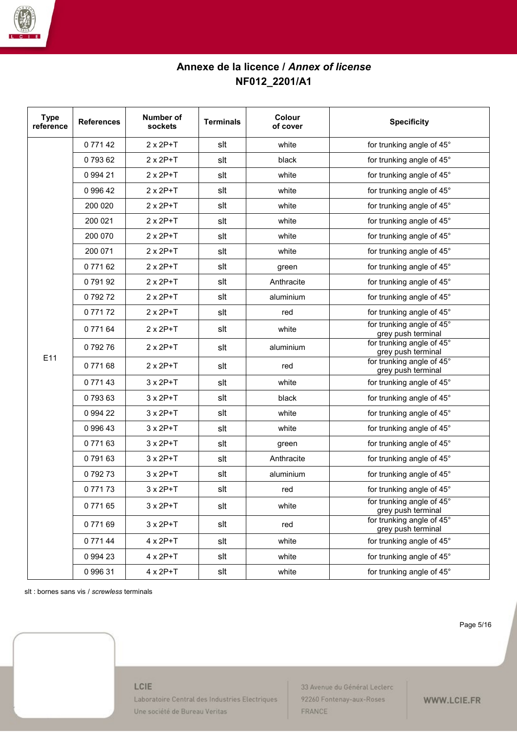

| <b>Type</b><br>reference | <b>References</b> | Number of<br>sockets | <b>Terminals</b> | <b>Colour</b><br>of cover | <b>Specificity</b>                              |
|--------------------------|-------------------|----------------------|------------------|---------------------------|-------------------------------------------------|
|                          | 0 771 42          | $2 \times 2P+T$      | slt              | white                     | for trunking angle of 45°                       |
|                          | 079362            | $2 \times 2P+T$      | slt              | black                     | for trunking angle of 45°                       |
|                          | 0 994 21          | $2 \times 2P+T$      | slt              | white                     | for trunking angle of 45°                       |
|                          | 0 996 42          | $2 \times 2P + T$    | slt              | white                     | for trunking angle of 45°                       |
|                          | 200 020           | $2 \times 2P+T$      | slt              | white                     | for trunking angle of 45°                       |
|                          | 200 021           | $2 \times 2P+T$      | slt              | white                     | for trunking angle of 45°                       |
|                          | 200 070           | $2 \times 2P + T$    | slt              | white                     | for trunking angle of 45°                       |
|                          | 200 071           | $2 \times 2P+T$      | slt              | white                     | for trunking angle of 45°                       |
|                          | 0 771 62          | $2 \times 2P+T$      | slt              | green                     | for trunking angle of 45°                       |
|                          | 079192            | $2 \times 2P+T$      | slt              | Anthracite                | for trunking angle of 45°                       |
|                          | 079272            | $2 \times 2P + T$    | slt              | aluminium                 | for trunking angle of 45°                       |
|                          | 077172            | $2 \times 2P+T$      | slt              | red                       | for trunking angle of 45°                       |
|                          | 0 771 64          | $2 \times 2P+T$      | slt              | white                     | for trunking angle of 45°<br>grey push terminal |
|                          | 079276            | $2 \times 2P+T$      | slt              | aluminium                 | for trunking angle of 45°<br>grey push terminal |
| E11                      | 077168            | $2 \times 2P+T$      | slt              | red                       | for trunking angle of 45°<br>grey push terminal |
|                          | 077143            | $3 \times 2P + T$    | slt              | white                     | for trunking angle of 45°                       |
|                          | 079363            | $3 \times 2P+T$      | slt              | black                     | for trunking angle of 45°                       |
|                          | 0 994 22          | $3 \times 2P+T$      | slt              | white                     | for trunking angle of 45°                       |
|                          | 0 996 43          | $3 \times 2P+T$      | slt              | white                     | for trunking angle of 45°                       |
|                          | 077163            | $3 \times 2P+T$      | slt              | green                     | for trunking angle of 45°                       |
|                          | 079163            | $3 \times 2P+T$      | slt              | Anthracite                | for trunking angle of 45°                       |
|                          | 079273            | $3 \times 2P+T$      | slt              | aluminium                 | for trunking angle of 45°                       |
|                          | 077173            | $3 \times 2P + T$    | slt              | red                       | for trunking angle of 45°                       |
|                          | 077165            | $3 \times 2P+T$      | slt              | white                     | for trunking angle of 45°<br>grey push terminal |
|                          | 077169            | $3 \times 2P+T$      | slt              | red                       | for trunking angle of 45°<br>grey push terminal |
|                          | 077144            | $4 \times 2P+T$      | slt              | white                     | for trunking angle of 45°                       |
|                          | 0 994 23          | $4 \times 2P+T$      | slt              | white                     | for trunking angle of 45°                       |
|                          | 0 996 31          | $4 \times 2P+T$      | slt              | white                     | for trunking angle of 45°                       |

slt : bornes sans vis / *screwless* terminals

Page 5/16

#### LCIE

Laboratoire Central des Industries Electriques Une société de Bureau Veritas

33 Avenue du Général Leclerc 92260 Fontenay-aux-Roses FRANCE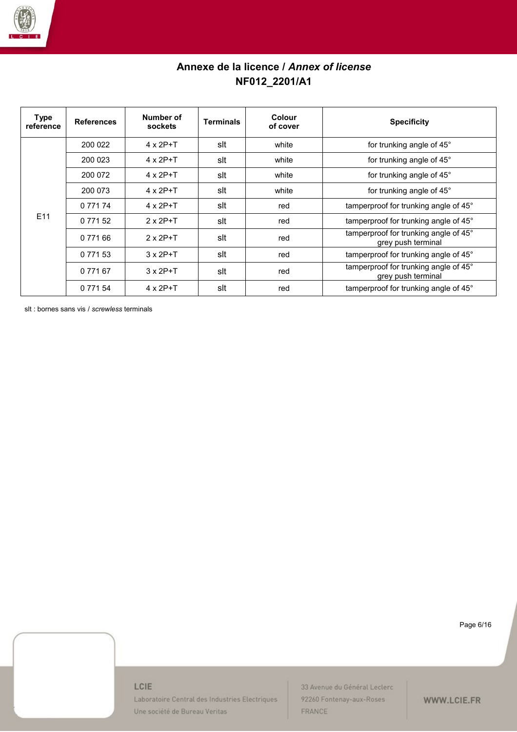

| Type<br>reference | <b>References</b> | Number of<br>sockets | <b>Terminals</b> | Colour<br>of cover | <b>Specificity</b>                                          |
|-------------------|-------------------|----------------------|------------------|--------------------|-------------------------------------------------------------|
|                   | 200 022           | $4 \times 2P+T$      | slt              | white              | for trunking angle of 45°                                   |
|                   | 200 023           | $4 \times 2P+T$      | slt              | white              | for trunking angle of 45°                                   |
|                   | 200 072           | $4 \times 2P+T$      | slt              | white              | for trunking angle of 45°                                   |
|                   | 200 073           | $4 \times 2P+T$      | slt              | white              | for trunking angle of 45°                                   |
|                   | 0 771 74          | $4 \times 2P+T$      | slt              | red                | tamperproof for trunking angle of 45°                       |
| E <sub>11</sub>   | 0 771 52          | $2 \times 2P+T$      | slt              | red                | tamperproof for trunking angle of 45°                       |
|                   | 0 771 66          | $2 \times 2P + T$    | slt              | red                | tamperproof for trunking angle of 45°<br>grey push terminal |
|                   | 0 7 7 1 5 3       | $3 \times 2P + T$    | slt              | red                | tamperproof for trunking angle of 45°                       |
|                   | 0 771 67          | $3 \times 2P + T$    | slt              | red                | tamperproof for trunking angle of 45°<br>grey push terminal |
|                   | 0 771 54          | $4 \times 2P+T$      | slt              | red                | tamperproof for trunking angle of 45°                       |

slt : bornes sans vis / *screwless* terminals

Page 6/16

### LCIE

Laboratoire Central des Industries Electriques Une société de Bureau Veritas

33 Avenue du Général Leclerc 92260 Fontenay-aux-Roses FRANCE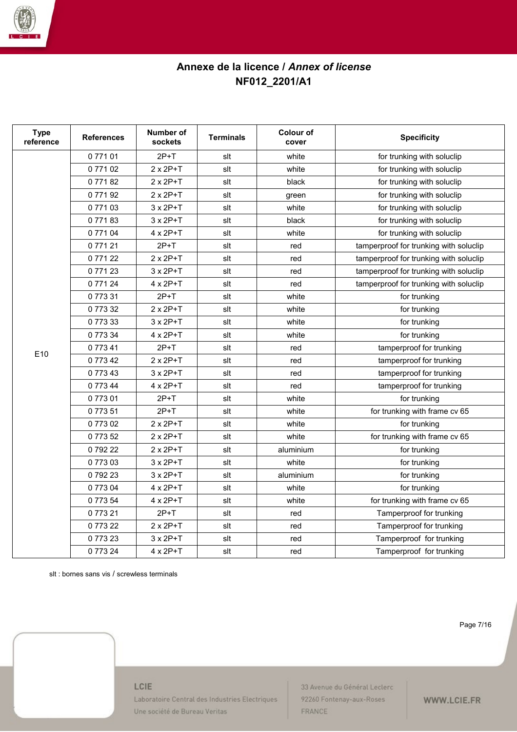

| <b>Type</b><br>reference | <b>References</b> | <b>Number of</b><br>sockets | <b>Terminals</b> | <b>Colour of</b><br>cover | <b>Specificity</b>                     |
|--------------------------|-------------------|-----------------------------|------------------|---------------------------|----------------------------------------|
|                          | 077101            | $2P+T$                      | slt              | white                     | for trunking with soluclip             |
|                          | 077102            | $2 \times 2P+T$             | slt              | white                     | for trunking with soluclip             |
|                          | 077182            | $2 \times 2P+T$             | slt              | black                     | for trunking with soluclip             |
|                          | 077192            | $2 \times 2P+T$             | slt              | green                     | for trunking with soluclip             |
|                          | 077103            | $3 \times 2P+T$             | slt              | white                     | for trunking with soluclip             |
|                          | 077183            | $3 \times 2P+T$             | slt              | black                     | for trunking with soluclip             |
|                          | 077104            | $4 \times 2P+T$             | slt              | white                     | for trunking with soluclip             |
|                          | 077121            | $2P+T$                      | slt              | red                       | tamperproof for trunking with soluclip |
|                          | 077122            | $2 \times 2P+T$             | slt              | red                       | tamperproof for trunking with soluclip |
|                          | 077123            | $3 \times 2P+T$             | slt              | red                       | tamperproof for trunking with soluclip |
|                          | 077124            | $4 \times 2P+T$             | slt              | red                       | tamperproof for trunking with soluclip |
|                          | 077331            | $2P+T$                      | slt              | white                     | for trunking                           |
|                          | 077332            | $2 \times 2P+T$             | slt              | white                     | for trunking                           |
|                          | 077333            | $3 \times 2P+T$             | slt              | white                     | for trunking                           |
|                          | 077334            | $4 \times 2P+T$             | slt              | white                     | for trunking                           |
| E10                      | 077341            | $2P+T$                      | slt              | red                       | tamperproof for trunking               |
|                          | 077342            | $2 \times 2P+T$             | slt              | red                       | tamperproof for trunking               |
|                          | 077343            | $3 \times 2P+T$             | slt              | red                       | tamperproof for trunking               |
|                          | 0 773 44          | $4 \times 2P+T$             | slt              | red                       | tamperproof for trunking               |
|                          | 077301            | $2P+T$                      | slt              | white                     | for trunking                           |
|                          | 077351            | $2P+T$                      | slt              | white                     | for trunking with frame cv 65          |
|                          | 0 773 02          | 2 x 2P+T                    | slt              | white                     | for trunking                           |
|                          | 077352            | $2 \times 2P+T$             | slt              | white                     | for trunking with frame cv 65          |
|                          | 079222            | $2 \times 2P+T$             | slt              | aluminium                 | for trunking                           |
|                          | 077303            | $3 \times 2P+T$             | slt              | white                     | for trunking                           |
|                          | 079223            | $3 \times 2P+T$             | slt              | aluminium                 | for trunking                           |
|                          | 077304            | $4 \times 2P+T$             | slt              | white                     | for trunking                           |
|                          | 077354            | $4 \times 2P+T$             | slt              | white                     | for trunking with frame cv 65          |
|                          | 077321            | $2P+T$                      | slt              | red                       | Tamperproof for trunking               |
|                          | 077322            | $2 \times 2P+T$             | slt              | red                       | Tamperproof for trunking               |
|                          | 077323            | $3 \times 2P+T$             | slt              | red                       | Tamperproof for trunking               |
|                          | 0 773 24          | 4 x 2P+T                    | slt              | red                       | Tamperproof for trunking               |

slt : bornes sans vis / screwless terminals

Page 7/16

#### LCIE

Laboratoire Central des Industries Electriques Une société de Bureau Veritas

33 Avenue du Général Leclerc 92260 Fontenay-aux-Roses FRANCE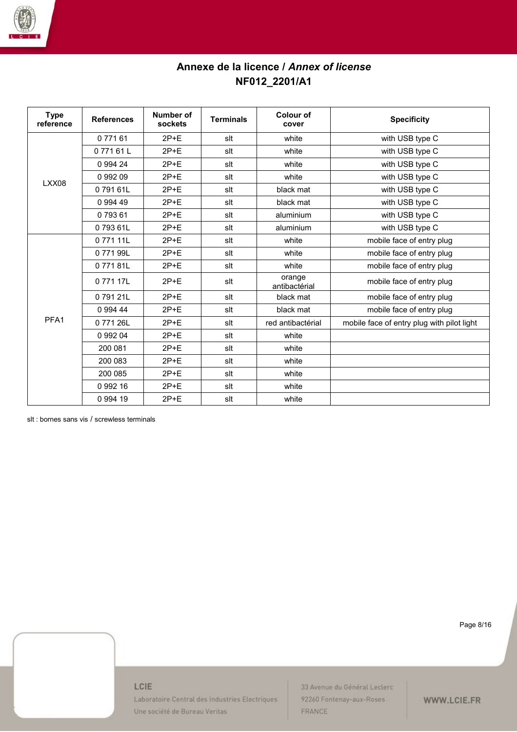

| <b>Type</b><br>reference | <b>References</b> | Number of<br>sockets | <b>Terminals</b> | Colour of<br>cover      | <b>Specificity</b>                         |
|--------------------------|-------------------|----------------------|------------------|-------------------------|--------------------------------------------|
|                          | 0 771 61          | $2P+E$               | slt              | white                   | with USB type C                            |
|                          | 077161L           | $2P+E$               | slt              | white                   | with USB type C                            |
|                          | 0 9 9 4 2 4       | $2P + F$             | slt              | white                   | with USB type C                            |
| LXX08                    | 0 992 09          | $2P+E$               | slt              | white                   | with USB type C                            |
|                          | 079161L           | $2P+E$               | slt              | black mat               | with USB type C                            |
|                          | 0 9 9 4 4 9       | $2P+E$               | slt              | black mat               | with USB type C                            |
|                          | 079361            | $2P+E$               | slt              | aluminium               | with USB type C                            |
|                          | 079361L           | $2P+E$               | slt              | aluminium               | with USB type C                            |
|                          | 077111L           | $2P+E$               | slt              | white                   | mobile face of entry plug                  |
|                          | 077199L           | $2P+E$               | slt              | white                   | mobile face of entry plug                  |
|                          | 077181L           | $2P+E$               | slt              | white                   | mobile face of entry plug                  |
|                          | 0 771 17L         | $2P+E$               | slt              | orange<br>antibactérial | mobile face of entry plug                  |
|                          | 079121L           | $2P+E$               | slt              | black mat               | mobile face of entry plug                  |
|                          | 0 9 9 4 4 4       | $2P+E$               | slt              | black mat               | mobile face of entry plug                  |
| PFA1                     | 077126L           | $2P+E$               | slt              | red antibactérial       | mobile face of entry plug with pilot light |
|                          | 0 992 04          | $2P+E$               | slt              | white                   |                                            |
|                          | 200 081           | $2P + F$             | slt              | white                   |                                            |
|                          | 200 083           | $2P+E$               | slt              | white                   |                                            |
|                          | 200 085           | $2P+E$               | slt              | white                   |                                            |
|                          | 0 992 16          | $2P+E$               | slt              | white                   |                                            |
|                          | 0 994 19          | $2P+E$               | slt              | white                   |                                            |

slt : bornes sans vis / screwless terminals

Page 8/16

## LCIE

Laboratoire Central des Industries Electriques Une société de Bureau Veritas

33 Avenue du Général Leclerc 92260 Fontenay-aux-Roses FRANCE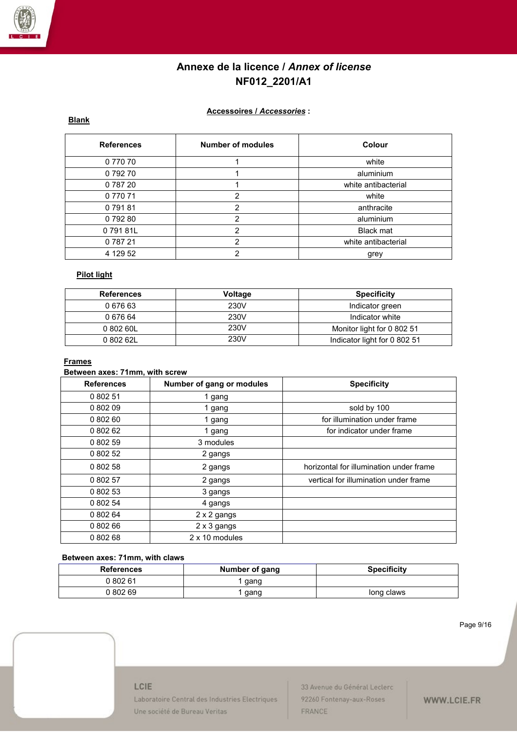

## **Accessoires /** *Accessories* **:**

## **Blank**

| <b>References</b> | <b>Number of modules</b> | Colour              |
|-------------------|--------------------------|---------------------|
| 0 770 70          |                          | white               |
| 079270            |                          | aluminium           |
| 078720            |                          | white antibacterial |
| 0 770 71          | $\mathcal{P}$            | white               |
| 079181            | 2                        | anthracite          |
| 079280            | 2                        | aluminium           |
| 079181L           | 2                        | <b>Black mat</b>    |
| 078721            | 2                        | white antibacterial |
| 4 129 52          | っ                        | grey                |

## **Pilot light**

| <b>References</b> | Voltage | <b>Specificity</b>           |
|-------------------|---------|------------------------------|
| 0 676 63          | 230V    | Indicator green              |
| 0 676 64          | 230V    | Indicator white              |
| 0 802 60L         | 230V    | Monitor light for 0 802 51   |
| 080262L           | 230V    | Indicator light for 0 802 51 |

#### **Frames**

### **Between axes: 71mm, with screw**

| <b>References</b> | Number of gang or modules | <b>Specificity</b>                      |
|-------------------|---------------------------|-----------------------------------------|
| 0 802 51          | 1 gang                    |                                         |
| 0 802 09          | 1 gang                    | sold by 100                             |
| 0 802 60          | 1 gang                    | for illumination under frame            |
| 0 802 62          | 1 gang                    | for indicator under frame               |
| 0 802 59          | 3 modules                 |                                         |
| 0 802 52          | 2 gangs                   |                                         |
| 0 802 58          | 2 gangs                   | horizontal for illumination under frame |
| 0 802 57          | 2 gangs                   | vertical for illumination under frame   |
| 0 802 53          | 3 gangs                   |                                         |
| 0 802 54          | 4 gangs                   |                                         |
| 0 802 64          | 2 x 2 gangs               |                                         |
| 0 802 66          | 2 x 3 gangs               |                                         |
| 0 802 68          | 2 x 10 modules            |                                         |

## **Between axes: 71mm, with claws**

| <b>References</b> | Number of gang | <b>Specificity</b> |
|-------------------|----------------|--------------------|
| 0 802 61          | gang           |                    |
| 0 802 69          | gang           | long claws         |

Page 9/16

#### LCIE

Laboratoire Central des Industries Electriques Une société de Bureau Veritas

33 Avenue du Général Leclerc 92260 Fontenay-aux-Roses FRANCE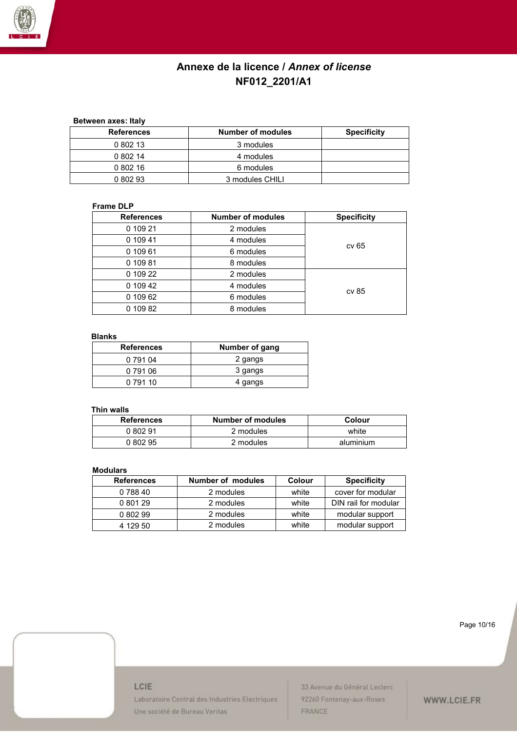

## **Between axes: Italy**

| <b>References</b> | <b>Number of modules</b> | <b>Specificity</b> |
|-------------------|--------------------------|--------------------|
| 0 802 13          | 3 modules                |                    |
| 0 802 14          | 4 modules                |                    |
| 0 802 16          | 6 modules                |                    |
| 0 802 93          | 3 modules CHILI          |                    |

### **Frame DLP**

| <b>References</b> | <b>Number of modules</b> | <b>Specificity</b> |
|-------------------|--------------------------|--------------------|
| 0 109 21          | 2 modules                |                    |
| 0 109 41          | 4 modules                |                    |
| 0 109 61          | 6 modules                | cv 65              |
| 0 109 81          | 8 modules                |                    |
| 0 109 22          | 2 modules                |                    |
| 0 109 42          | 4 modules                |                    |
| 0 109 62          | 6 modules                | cv 85              |
| 0 109 82          | 8 modules                |                    |

#### **Blanks**

| <b>References</b> | Number of gang |
|-------------------|----------------|
| 0 791 04          | 2 gangs        |
| 0 791 06          | 3 gangs        |
| 0 791 10          | 4 gangs        |

## **Thin walls**

| <b>References</b> | <b>Number of modules</b> | Colour    |
|-------------------|--------------------------|-----------|
| 0 802 91          | 2 modules                | white     |
| 0 802 95          | 2 modules                | aluminium |

#### **Modulars**

| <b>References</b> | <b>Number of modules</b> | Colour | <b>Specificity</b>   |
|-------------------|--------------------------|--------|----------------------|
| 0 788 40          | 2 modules                | white  | cover for modular    |
| 0 801 29          | 2 modules                | white  | DIN rail for modular |
| 0 802 99          | 2 modules                | white  | modular support      |
| 4 129 50          | 2 modules                | white  | modular support      |

Page 10/16

### LCIE

Laboratoire Central des Industries Electriques Une société de Bureau Veritas

33 Avenue du Général Leclerc 92260 Fontenay-aux-Roses FRANCE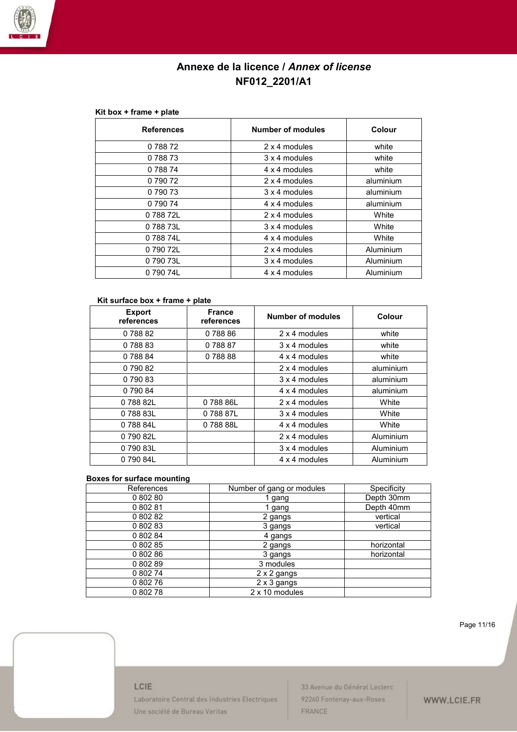

#### **Kit box + frame + plate**

| <b>References</b> | <b>Number of modules</b> | Colour    |
|-------------------|--------------------------|-----------|
| 078872            | 2 x 4 modules            | white     |
| 0 788 73          | 3 x 4 modules            | white     |
| 0 788 74          | 4 x 4 modules            | white     |
| 0 790 72          | 2 x 4 modules            | aluminium |
| 0 790 73          | 3 x 4 modules            | aluminium |
| 0 790 74          | 4 x 4 modules            | aluminium |
| 0 788 72L         | $2 \times 4$ modules     | White     |
| 078873L           | 3 x 4 modules            | White     |
| 078874L           | 4 x 4 modules            | White     |
| 0 790 72L         | 2 x 4 modules            | Aluminium |
| 0 790 73L         | 3 x 4 modules            | Aluminium |
| 0 790 74L         | 4 x 4 modules            | Aluminium |

#### **Kit surface box + frame + plate**

| <b>Export</b><br>references | <b>France</b><br>references | <b>Number of modules</b> | Colour    |
|-----------------------------|-----------------------------|--------------------------|-----------|
| 0 788 82                    | 0 788 86                    | 2 x 4 modules            | white     |
| 078883                      | 078887                      | 3 x 4 modules            | white     |
| 0 788 84                    | 078888                      | 4 x 4 modules            | white     |
| 0 790 82                    |                             | 2 x 4 modules            | aluminium |
| 079083                      |                             | 3 x 4 modules            | aluminium |
| 0 790 84                    |                             | 4 x 4 modules            | aluminium |
| 078882L                     | 078886L                     | 2 x 4 modules            | White     |
| 078883L                     | 078887L                     | 3 x 4 modules            | White     |
| 078884L                     | 0 788 88L                   | 4 x 4 modules            | White     |
| 0 790 82L                   |                             | 2 x 4 modules            | Aluminium |
| 079083L                     |                             | 3 x 4 modules            | Aluminium |
| 079084L                     |                             | 4 x 4 modules            | Aluminium |

#### **Boxes for surface mounting**

| References | Number of gang or modules | Specificity |
|------------|---------------------------|-------------|
| 080280     | 1 gang                    | Depth 30mm  |
| 0 802 81   | 1 gang                    | Depth 40mm  |
| 0 802 82   | 2 gangs                   | vertical    |
| 0 802 83   | 3 gangs                   | vertical    |
| 0 802 84   | 4 gangs                   |             |
| 0 802 85   | 2 gangs                   | horizontal  |
| 0 802 86   | 3 gangs                   | horizontal  |
| 0 802 89   | 3 modules                 |             |
| 0 802 74   | 2 x 2 gangs               |             |
| 080276     | 2 x 3 gangs               |             |
| 080278     | 2 x 10 modules            |             |

Page 11/16

#### LCIE

Laboratoire Central des Industries Electriques Une société de Bureau Veritas

33 Avenue du Général Leclerc 92260 Fontenay-aux-Roses FRANCE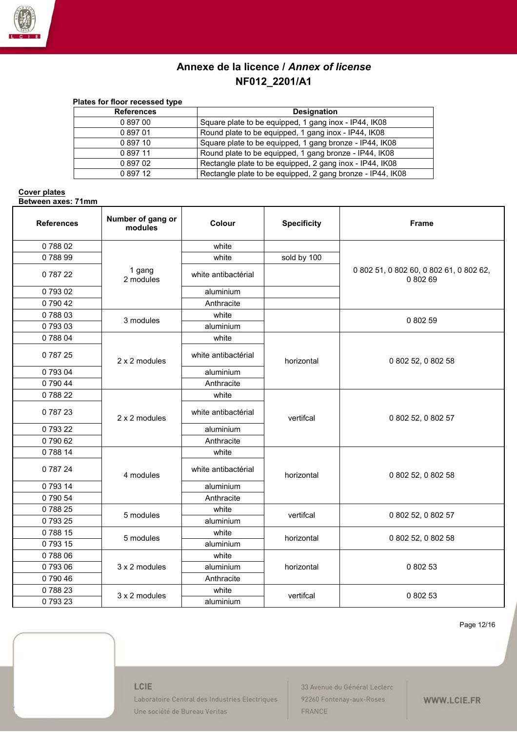

| Plates for floor recessed type |                                                            |
|--------------------------------|------------------------------------------------------------|
| <b>References</b>              | <b>Designation</b>                                         |
| 089700                         | Square plate to be equipped, 1 gang inox - IP44, IK08      |
| 089701                         | Round plate to be equipped, 1 gang inox - IP44, IK08       |
| 0 897 10                       | Square plate to be equipped, 1 gang bronze - IP44, IK08    |
| 089711                         | Round plate to be equipped, 1 gang bronze - IP44, IK08     |
| 0 897 02                       | Rectangle plate to be equipped, 2 gang inox - IP44, IK08   |
| 0 897 12                       | Rectangle plate to be equipped, 2 gang bronze - IP44, IK08 |

#### **Cover plates Between axes: 71mm**

| <b>References</b> | Number of gang or<br>modules | Colour              | <b>Specificity</b> | <b>Frame</b>                                        |
|-------------------|------------------------------|---------------------|--------------------|-----------------------------------------------------|
| 078802            |                              | white               |                    |                                                     |
| 078899            |                              | white               | sold by 100        |                                                     |
| 0 787 22          | 1 gang<br>2 modules          | white antibactérial |                    | 0 802 51, 0 802 60, 0 802 61, 0 802 62,<br>0 802 69 |
| 079302            |                              | aluminium           |                    |                                                     |
| 079042            |                              | Anthracite          |                    |                                                     |
| 078803            |                              | white               |                    |                                                     |
| 079303            | 3 modules                    | aluminium           |                    | 0 802 59                                            |
| 078804            |                              | white               |                    |                                                     |
| 078725            | 2 x 2 modules                | white antibactérial | horizontal         | 0 802 52, 0 802 58                                  |
| 079304            |                              | aluminium           |                    |                                                     |
| 0 790 44          |                              | Anthracite          |                    |                                                     |
| 078822            | 2 x 2 modules                | white               |                    |                                                     |
| 0 787 23          |                              | white antibactérial | vertifcal          | 0 802 52, 0 802 57                                  |
| 079322            |                              | aluminium           |                    |                                                     |
| 079062            |                              | Anthracite          |                    |                                                     |
| 078814            |                              | white               |                    |                                                     |
| 0 787 24          | 4 modules                    | white antibactérial | horizontal         | 0 802 52, 0 802 58                                  |
| 079314            |                              | aluminium           |                    |                                                     |
| 0 790 54          |                              | Anthracite          |                    |                                                     |
| 078825            | 5 modules                    | white               | vertifcal          | 0 802 52, 0 802 57                                  |
| 079325            |                              | aluminium           |                    |                                                     |
| 078815            | 5 modules                    | white               | horizontal         | 0 802 52, 0 802 58                                  |
| 079315            |                              | aluminium           |                    |                                                     |
| 078806            |                              | white               |                    |                                                     |
| 079306            | 3 x 2 modules                | aluminium           | horizontal         | 0 802 53                                            |
| 0 790 46          |                              | Anthracite          |                    |                                                     |
| 078823            | 3 x 2 modules                | white               |                    | 0 802 53                                            |
| 079323            |                              | aluminium           | vertifcal          |                                                     |

Page 12/16

### LCIE

Laboratoire Central des Industries Electriques Une société de Bureau Veritas

33 Avenue du Général Leclerc 92260 Fontenay-aux-Roses FRANCE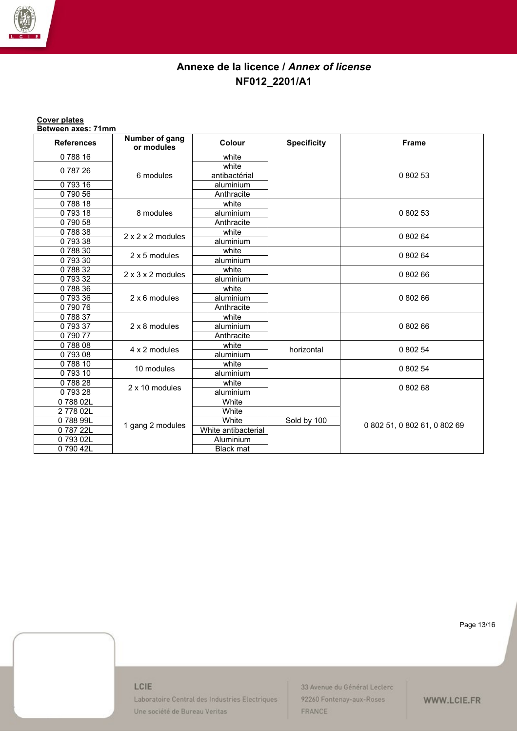

### **Cover plates**

**Between axes: 71mm**

| <b>References</b> | Number of gang<br>or modules  | Colour              | <b>Specificity</b> | <b>Frame</b>                 |
|-------------------|-------------------------------|---------------------|--------------------|------------------------------|
| 078816            |                               | white               |                    |                              |
| 0 787 26          |                               | white               |                    |                              |
|                   | 6 modules                     | antibactérial       |                    | 0 802 53                     |
| 079316            |                               | aluminium           |                    |                              |
| 079056            |                               | Anthracite          |                    |                              |
| 078818            |                               | white               |                    |                              |
| 079318            | 8 modules                     | aluminium           |                    | 0 802 53                     |
| 079058            |                               | Anthracite          |                    |                              |
| 078838            | $2 \times 2 \times 2$ modules | white               |                    | 0 802 64                     |
| 079338            |                               | aluminium           |                    |                              |
| 078830            | 2 x 5 modules                 | white               |                    | 0 802 64                     |
| 079330            |                               | aluminium           |                    |                              |
| 078832            | $2 \times 3 \times 2$ modules | white               |                    | 0 802 66                     |
| 079332            |                               | aluminium           |                    |                              |
| 078836            |                               | white               |                    |                              |
| 079336            | 2 x 6 modules                 | aluminium           |                    | 0 802 66                     |
| 079076            |                               | Anthracite          |                    |                              |
| 078837            |                               | white               |                    |                              |
| 079337            | 2 x 8 modules                 | aluminium           |                    | 0 802 66                     |
| 079077            |                               | Anthracite          |                    |                              |
| 078808            | 4 x 2 modules                 | white               | horizontal         | 0 802 54                     |
| 079308            |                               | aluminium           |                    |                              |
| 078810            | 10 modules                    | white               |                    | 0 802 54                     |
| 079310            |                               | aluminium           |                    |                              |
| 078828            | 2 x 10 modules                | white               |                    | 0 802 68                     |
| 079328            |                               | aluminium           |                    |                              |
| 078802L           |                               | White               |                    |                              |
| 277802L           | 1 gang 2 modules              | White               |                    |                              |
| 078899L           |                               | White               | Sold by 100        | 0 802 51, 0 802 61, 0 802 69 |
| 078722L           |                               | White antibacterial |                    |                              |
| 079302L           |                               | Aluminium           |                    |                              |
| 079042L           |                               | <b>Black mat</b>    |                    |                              |

Page 13/16

## LCIE

Laboratoire Central des Industries Electriques Une société de Bureau Veritas

33 Avenue du Général Leclerc 92260 Fontenay-aux-Roses FRANCE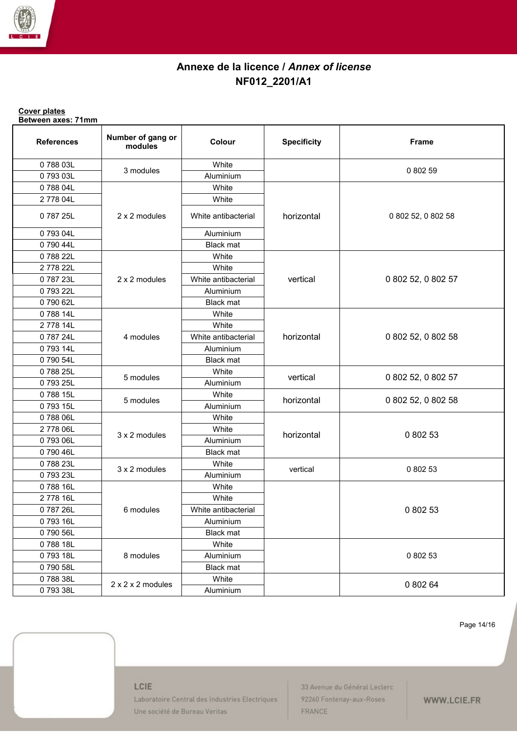

#### **Cover plates Between axes: 71mm**

| <b>References</b> | Number of gang or<br>modules  | Colour              | <b>Specificity</b> | <b>Frame</b>       |
|-------------------|-------------------------------|---------------------|--------------------|--------------------|
| 078803L           |                               | White               |                    |                    |
| 079303L           | 3 modules                     | Aluminium           |                    | 0 802 59           |
| 078804L           |                               | White               |                    |                    |
| 277804L           |                               | White               |                    |                    |
| 078725L           | 2 x 2 modules                 | White antibacterial | horizontal         | 0 802 52, 0 802 58 |
| 079304L           |                               | Aluminium           |                    |                    |
| 079044L           |                               | <b>Black mat</b>    |                    |                    |
| 078822L           |                               | White               |                    |                    |
| 2778 22L          |                               | White               |                    |                    |
| 078723L           | 2 x 2 modules                 | White antibacterial | vertical           | 0 802 52, 0 802 57 |
| 079322L           |                               | Aluminium           |                    |                    |
| 079062L           |                               | <b>Black mat</b>    |                    |                    |
| 078814L           |                               | White               |                    |                    |
| 2778 14L          |                               | White               |                    |                    |
| 078724L           | 4 modules                     | White antibacterial | horizontal         | 0 802 52, 0 802 58 |
| 079314L           |                               | Aluminium           |                    |                    |
| 079054L           |                               | <b>Black mat</b>    |                    |                    |
| 078825L           |                               | White               |                    |                    |
| 079325L           | 5 modules                     | Aluminium           | vertical           | 0 802 52, 0 802 57 |
| 078815L           |                               | White               |                    |                    |
| 079315L           | 5 modules                     | Aluminium           | horizontal         | 0 802 52, 0 802 58 |
| 078806L           |                               | White               |                    |                    |
| 2778 06L          |                               | White               |                    |                    |
| 079306L           | 3 x 2 modules                 | Aluminium           | horizontal         | 0 802 53           |
| 079046L           |                               | <b>Black mat</b>    |                    |                    |
| 078823L           | 3 x 2 modules                 | White               |                    |                    |
| 079323L           |                               | Aluminium           | vertical           | 0 802 53           |
| 078816L           |                               | White               |                    |                    |
| 2778 16L          |                               | White               |                    |                    |
| 078726L           | 6 modules                     | White antibacterial |                    | 0 802 53           |
| 079316L           |                               | Aluminium           |                    |                    |
| 079056L           |                               | <b>Black mat</b>    |                    |                    |
| 078818L           |                               | White               |                    |                    |
| 079318L           | 8 modules                     | Aluminium           |                    | 0 802 53           |
| 079058L           |                               | <b>Black mat</b>    |                    |                    |
| 078838L           | $2 \times 2 \times 2$ modules | White               |                    |                    |
| 079338L           |                               | Aluminium           |                    | 0 802 64           |

Page 14/16

#### LCIE

Laboratoire Central des Industries Electriques Une société de Bureau Veritas

33 Avenue du Général Leclerc 92260 Fontenay-aux-Roses FRANCE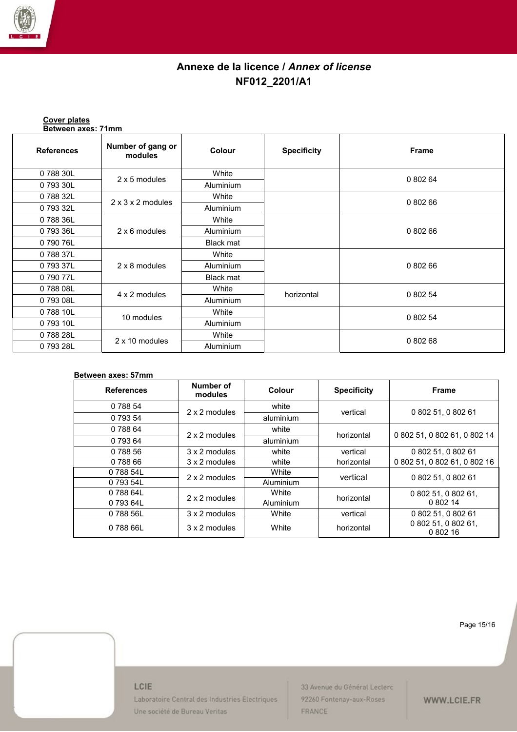

**Cover plates**

## **Annexe de la licence /** *Annex of license* **NF012\_2201/A1**

| Between axes: 71mm |                               |                  |                    |              |  |
|--------------------|-------------------------------|------------------|--------------------|--------------|--|
| <b>References</b>  | Number of gang or<br>modules  | <b>Colour</b>    | <b>Specificity</b> | <b>Frame</b> |  |
| 0 788 30L          |                               | White            |                    |              |  |
| 0 793 30L          | 2 x 5 modules                 | Aluminium        |                    | 0 802 64     |  |
| 0 788 32L          |                               | White            |                    |              |  |
| 0 793 32L          | $2 \times 3 \times 2$ modules | <b>Aluminium</b> |                    | 0 802 66     |  |
| 078836L            | 2 x 6 modules                 | White            |                    |              |  |
| 0 793 36L          |                               | <b>Aluminium</b> |                    | 0 802 66     |  |
| 0 790 76L          |                               | Black mat        |                    |              |  |
| 078837L            |                               | White            |                    |              |  |
| 079337L            | 2 x 8 modules                 | <b>Aluminium</b> |                    | 0 802 66     |  |
| 079077L            |                               | <b>Black mat</b> |                    |              |  |
| 078808L            | 4 x 2 modules                 | White            | horizontal         | 0 802 54     |  |
| 0 793 08L          |                               | <b>Aluminium</b> |                    |              |  |
| 078810L            | 10 modules                    | White            |                    |              |  |
| 079310L            |                               | Aluminium        |                    | 0 802 54     |  |
| 078828L            |                               | White            |                    | 0 802 68     |  |
| 079328L            | 2 x 10 modules                | Aluminium        |                    |              |  |

### **Between axes: 57mm**

| <b>References</b> | Number of<br>modules | Colour    | <b>Specificity</b> | <b>Frame</b>                    |
|-------------------|----------------------|-----------|--------------------|---------------------------------|
| 0 788 54          | 2 x 2 modules        | white     | vertical           | 0 802 51, 0 802 61              |
| 0 793 54          |                      | aluminium |                    |                                 |
| 0 788 64          | 2 x 2 modules        | white     |                    | 0 802 51, 0 802 61, 0 802 14    |
| 0 793 64          |                      | aluminium | horizontal         |                                 |
| 0 788 56          | 3 x 2 modules        | white     | vertical           | 0 802 51, 0 802 61              |
| 0 788 66          | 3 x 2 modules        | white     | horizontal         | 0 802 51, 0 802 61, 0 802 16    |
| 0 788 54L         | 2 x 2 modules        | White     | vertical           | 0 802 51, 0 802 61              |
| 0 793 54L         |                      | Aluminium |                    |                                 |
| 0 788 64L         | 2 x 2 modules        | White     | horizontal         | 0 802 51, 0 802 61,<br>0 802 14 |
| 0 793 64L         |                      | Aluminium |                    |                                 |
| 078856L           | 3 x 2 modules        | White     | vertical           | 0 802 51, 0 802 61              |
| 0 788 66L         | 3 x 2 modules        | White     | horizontal         | 0 802 51, 0 802 61,<br>0 802 16 |

Page 15/16

#### LCIE

Laboratoire Central des Industries Electriques Une société de Bureau Veritas

33 Avenue du Général Leclerc 92260 Fontenay-aux-Roses FRANCE